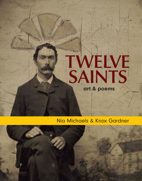## TWELVE SAINTS art & poems

Nia Michaels & Knox Gardner

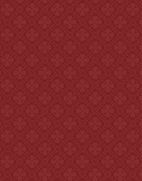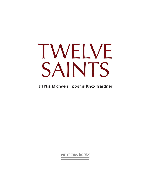# **TWELVE SAINTS**

art Nia Michaels poems Knox Gardner

entre ríos books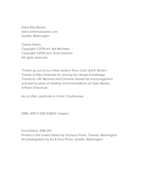Entre Ríos Books www.entreriosbooks.com Seattle, Washington

Twelve Saints Copyright ©2014 art, Nia Michaels Copyright ©2015 text, Knox Gardner All rights reserved.

Thanks go out to our initial readers Terry Clark and E. Briskin. Thanks to Niko Okamoto for sharing her design knowledge. Thanks to J.W. Marshall and Christine Deavel for encouragement and twenty years of reading recommendations at Open Books: A Poem Emporium.

As so often, gratitude to Victor Chudnovsky.

ISBN: 978-0-692-52834-1 (paper)

First Edition. ERB 001.

Printed in the United States by Olympus Press, Tukwila, Washington. Art photography by Art & Soul Photo, Seattle, Washington.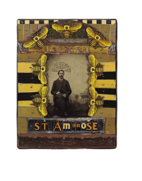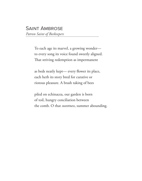To each age its marvel, a growing wonder to every song its voice found sweetly aligned. That striving redemption as impermanent

as beds neatly kept— every fower its place, each herb its story bred for curative or riotous pleasure. A brash taking of bees

piled on echinacea, our garden is born of toil, hungry conciliation between the comb. O that *sweetness*, summer abounding.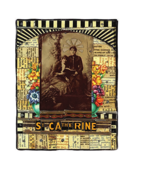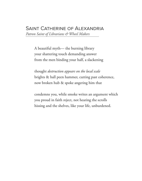### SAINT CATHERINE OF ALEXANDRIA

*Patron Saint of Librarians & Wheel Makers*

A beautiful myth— the burning library your shattering touch demanding answer from the men binding your half, a slackening

thought *destruction appears on the local scale* brights & ball peen hammer, cutting past coherence, now broken hub & spoke angering him that

condemns you, while smoke writes an argument which you proud in faith reject, not hearing the scrolls hissing and the shelves, like your life, unburdened.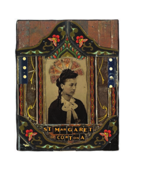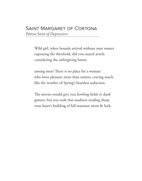Wild girl, when hounds arrived without your master rupturing the threshold, did you snatch jewels considering the unforgiving future

among men? There is no place for a woman who loves pleasure more than station, craving much like the weather of Spring's heartless seduction.

The movies would give you howling fields or dank gutters, but you took that madness rending sharp your heart's building of hill mansion room & lock.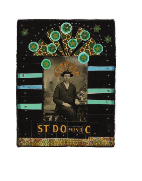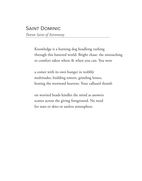#### SAINT DOMINIC

*Patron Saint of Astronomy*

Knowledge is a burning dog headlong rushing through this battered world. Bright chase: the untouching or comfort taken where & when you can. You were

a comet with its own hunger in wobbly multitudes, building towers, grinding lenses, honing the westward heavens. Your callused thumb

on worried beads kindles the mind as answers scatter across the giving foreground. No need for stars or skies or useless atmosphere.